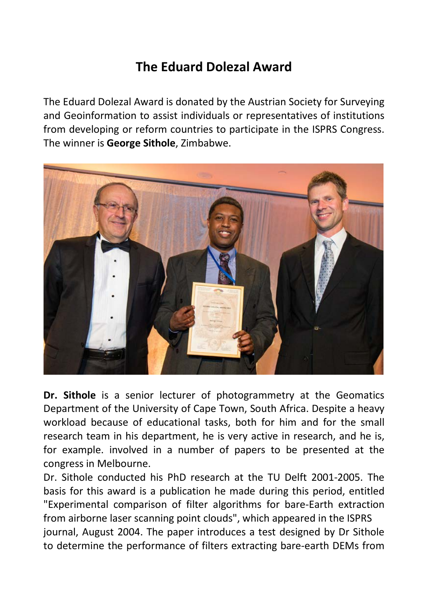## **The Eduard Dolezal Award**

The Eduard Dolezal Award is donated by the Austrian Society for Surveying and Geoinformation to assist individuals or representatives of institutions from developing or reform countries to participate in the ISPRS Congress. The winner is **George Sithole**, Zimbabwe.



**Dr. Sithole** is a senior lecturer of photogrammetry at the Geomatics Department of the University of Cape Town, South Africa. Despite a heavy workload because of educational tasks, both for him and for the small research team in his department, he is very active in research, and he is, for example. involved in a number of papers to be presented at the congress in Melbourne.

Dr. Sithole conducted his PhD research at the TU Delft 2001-2005. The basis for this award is a publication he made during this period, entitled "Experimental comparison of filter algorithms for bare-Earth extraction from airborne laser scanning point clouds", which appeared in the ISPRS journal, August 2004. The paper introduces a test designed by Dr Sithole to determine the performance of filters extracting bare-earth DEMs from